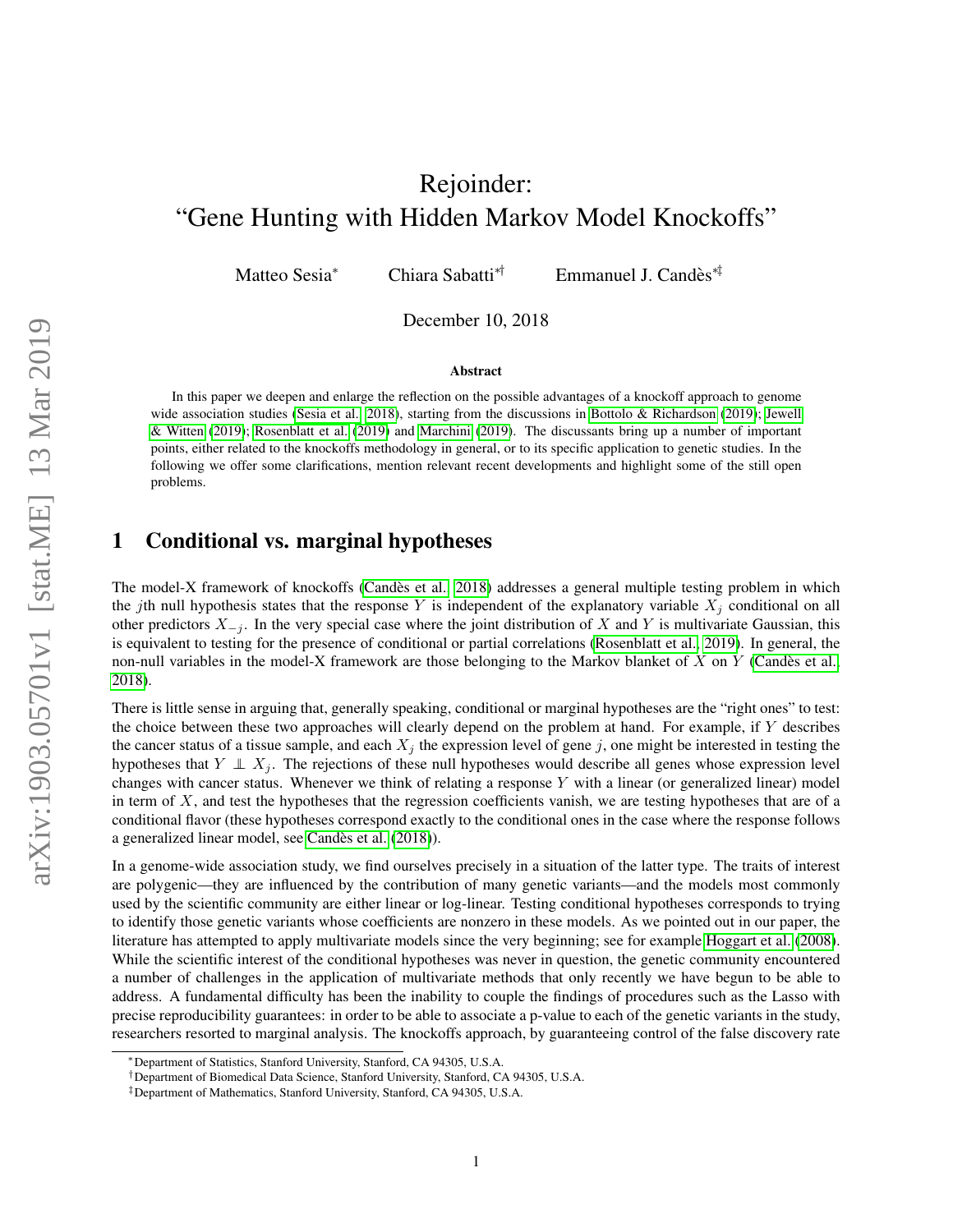# Rejoinder: "Gene Hunting with Hidden Markov Model Knockoffs"

Matteo Sesia<sup>∗</sup> Chiara Sabatti<sup>\*†</sup> Emmanuel J. Candès<sup>\*‡</sup>

December 10, 2018

#### Abstract

In this paper we deepen and enlarge the reflection on the possible advantages of a knockoff approach to genome wide association studies [\(Sesia et al., 2018\)](#page-8-0), starting from the discussions in [Bottolo & Richardson](#page-7-0) [\(2019\)](#page-7-0); [Jewell](#page-8-1) [& Witten](#page-8-1) [\(2019\)](#page-8-1); [Rosenblatt et al.](#page-8-2) [\(2019\)](#page-8-2) and [Marchini](#page-8-3) [\(2019\)](#page-8-3). The discussants bring up a number of important points, either related to the knockoffs methodology in general, or to its specific application to genetic studies. In the following we offer some clarifications, mention relevant recent developments and highlight some of the still open problems.

### 1 Conditional vs. marginal hypotheses

The model-X framework of knockoffs [\(Candes et al., 2018\)](#page-7-1) addresses a general multiple testing problem in which ` the jth null hypothesis states that the response Y is independent of the explanatory variable  $X_j$  conditional on all other predictors  $X_{-j}$ . In the very special case where the joint distribution of X and Y is multivariate Gaussian, this is equivalent to testing for the presence of conditional or partial correlations [\(Rosenblatt et al., 2019\)](#page-8-2). In general, the non-null variables in the model-X framework are those belonging to the Markov blanket of  $X$  on  $Y$  (Candès et al., [2018\)](#page-7-1).

There is little sense in arguing that, generally speaking, conditional or marginal hypotheses are the "right ones" to test: the choice between these two approaches will clearly depend on the problem at hand. For example, if Y describes the cancer status of a tissue sample, and each  $X_i$  the expression level of gene j, one might be interested in testing the hypotheses that  $Y \perp X_j$ . The rejections of these null hypotheses would describe all genes whose expression level changes with cancer status. Whenever we think of relating a response Y with a linear (or generalized linear) model in term of  $X$ , and test the hypotheses that the regression coefficients vanish, we are testing hypotheses that are of a conditional flavor (these hypotheses correspond exactly to the conditional ones in the case where the response follows a generalized linear model, see Candès et al. [\(2018\)](#page-7-1)).

In a genome-wide association study, we find ourselves precisely in a situation of the latter type. The traits of interest are polygenic—they are influenced by the contribution of many genetic variants—and the models most commonly used by the scientific community are either linear or log-linear. Testing conditional hypotheses corresponds to trying to identify those genetic variants whose coefficients are nonzero in these models. As we pointed out in our paper, the literature has attempted to apply multivariate models since the very beginning; see for example [Hoggart et al.](#page-7-2) [\(2008\)](#page-7-2). While the scientific interest of the conditional hypotheses was never in question, the genetic community encountered a number of challenges in the application of multivariate methods that only recently we have begun to be able to address. A fundamental difficulty has been the inability to couple the findings of procedures such as the Lasso with precise reproducibility guarantees: in order to be able to associate a p-value to each of the genetic variants in the study, researchers resorted to marginal analysis. The knockoffs approach, by guaranteeing control of the false discovery rate

<sup>∗</sup>Department of Statistics, Stanford University, Stanford, CA 94305, U.S.A.

<sup>†</sup>Department of Biomedical Data Science, Stanford University, Stanford, CA 94305, U.S.A.

<sup>‡</sup>Department of Mathematics, Stanford University, Stanford, CA 94305, U.S.A.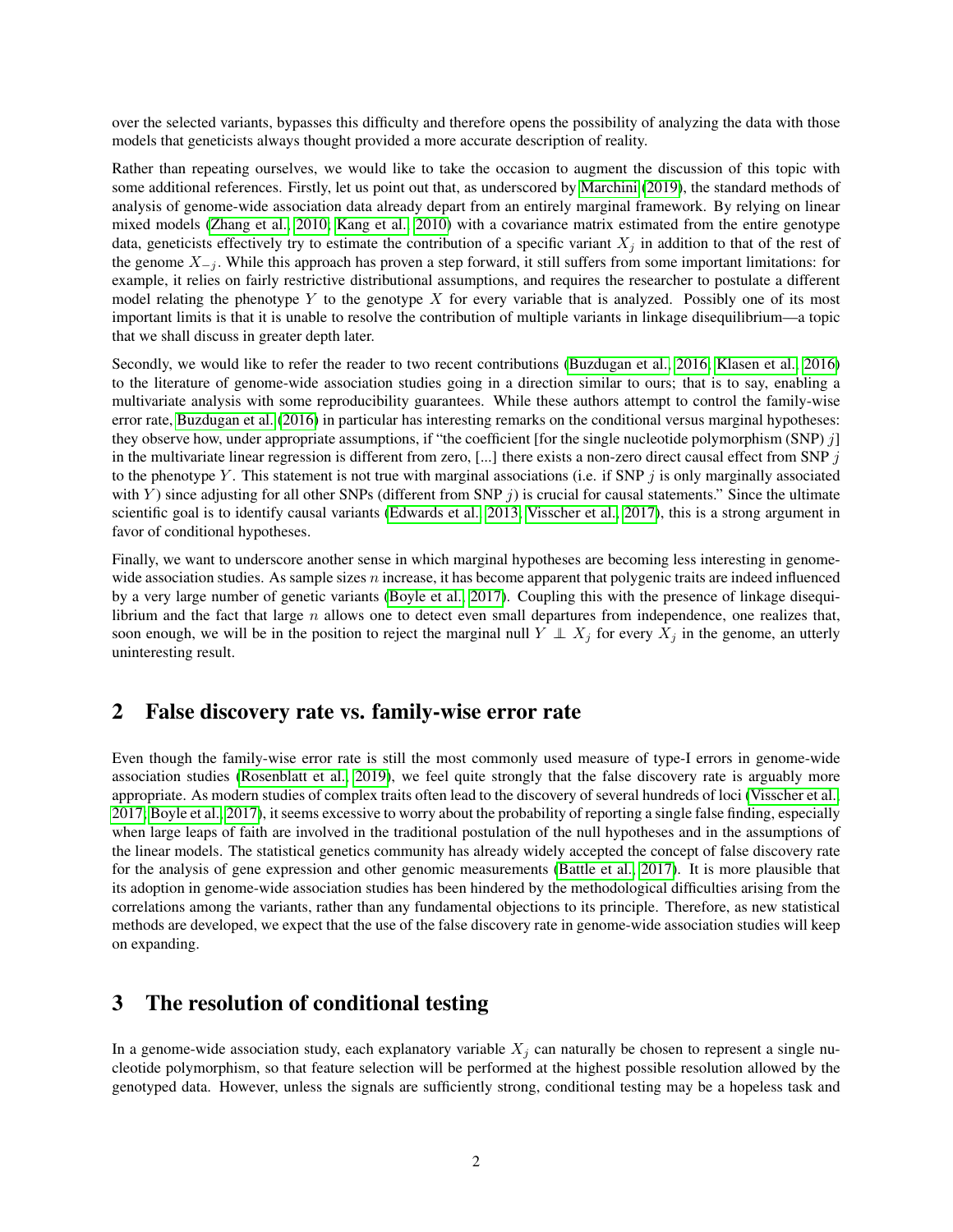over the selected variants, bypasses this difficulty and therefore opens the possibility of analyzing the data with those models that geneticists always thought provided a more accurate description of reality.

Rather than repeating ourselves, we would like to take the occasion to augment the discussion of this topic with some additional references. Firstly, let us point out that, as underscored by [Marchini](#page-8-3) [\(2019\)](#page-8-3), the standard methods of analysis of genome-wide association data already depart from an entirely marginal framework. By relying on linear mixed models [\(Zhang et al., 2010;](#page-8-4) [Kang et al., 2010\)](#page-8-5) with a covariance matrix estimated from the entire genotype data, geneticists effectively try to estimate the contribution of a specific variant  $X_j$  in addition to that of the rest of the genome  $X_{-j}$ . While this approach has proven a step forward, it still suffers from some important limitations: for example, it relies on fairly restrictive distributional assumptions, and requires the researcher to postulate a different model relating the phenotype  $Y$  to the genotype  $X$  for every variable that is analyzed. Possibly one of its most important limits is that it is unable to resolve the contribution of multiple variants in linkage disequilibrium—a topic that we shall discuss in greater depth later.

Secondly, we would like to refer the reader to two recent contributions [\(Buzdugan et al., 2016;](#page-7-3) [Klasen et al., 2016\)](#page-8-6) to the literature of genome-wide association studies going in a direction similar to ours; that is to say, enabling a multivariate analysis with some reproducibility guarantees. While these authors attempt to control the family-wise error rate, [Buzdugan et al.](#page-7-3) [\(2016\)](#page-7-3) in particular has interesting remarks on the conditional versus marginal hypotheses: they observe how, under appropriate assumptions, if "the coefficient [for the single nucleotide polymorphism (SNP)  $j$ ] in the multivariate linear regression is different from zero,  $[...]$  there exists a non-zero direct causal effect from SNP  $j$ to the phenotype Y. This statement is not true with marginal associations (i.e. if SNP  $j$  is only marginally associated with Y) since adjusting for all other SNPs (different from SNP  $j$ ) is crucial for causal statements." Since the ultimate scientific goal is to identify causal variants [\(Edwards et al., 2013;](#page-7-4) [Visscher et al., 2017\)](#page-8-7), this is a strong argument in favor of conditional hypotheses.

Finally, we want to underscore another sense in which marginal hypotheses are becoming less interesting in genomewide association studies. As sample sizes n increase, it has become apparent that polygenic traits are indeed influenced by a very large number of genetic variants [\(Boyle et al., 2017\)](#page-7-5). Coupling this with the presence of linkage disequilibrium and the fact that large  $n$  allows one to detect even small departures from independence, one realizes that, soon enough, we will be in the position to reject the marginal null  $Y \perp X_j$  for every  $X_j$  in the genome, an utterly uninteresting result.

#### 2 False discovery rate vs. family-wise error rate

Even though the family-wise error rate is still the most commonly used measure of type-I errors in genome-wide association studies [\(Rosenblatt et al., 2019\)](#page-8-2), we feel quite strongly that the false discovery rate is arguably more appropriate. As modern studies of complex traits often lead to the discovery of several hundreds of loci [\(Visscher et al.,](#page-8-7) [2017;](#page-8-7) [Boyle et al., 2017\)](#page-7-5), it seems excessive to worry about the probability of reporting a single false finding, especially when large leaps of faith are involved in the traditional postulation of the null hypotheses and in the assumptions of the linear models. The statistical genetics community has already widely accepted the concept of false discovery rate for the analysis of gene expression and other genomic measurements [\(Battle et al., 2017\)](#page-7-6). It is more plausible that its adoption in genome-wide association studies has been hindered by the methodological difficulties arising from the correlations among the variants, rather than any fundamental objections to its principle. Therefore, as new statistical methods are developed, we expect that the use of the false discovery rate in genome-wide association studies will keep on expanding.

### 3 The resolution of conditional testing

In a genome-wide association study, each explanatory variable  $X_j$  can naturally be chosen to represent a single nucleotide polymorphism, so that feature selection will be performed at the highest possible resolution allowed by the genotyped data. However, unless the signals are sufficiently strong, conditional testing may be a hopeless task and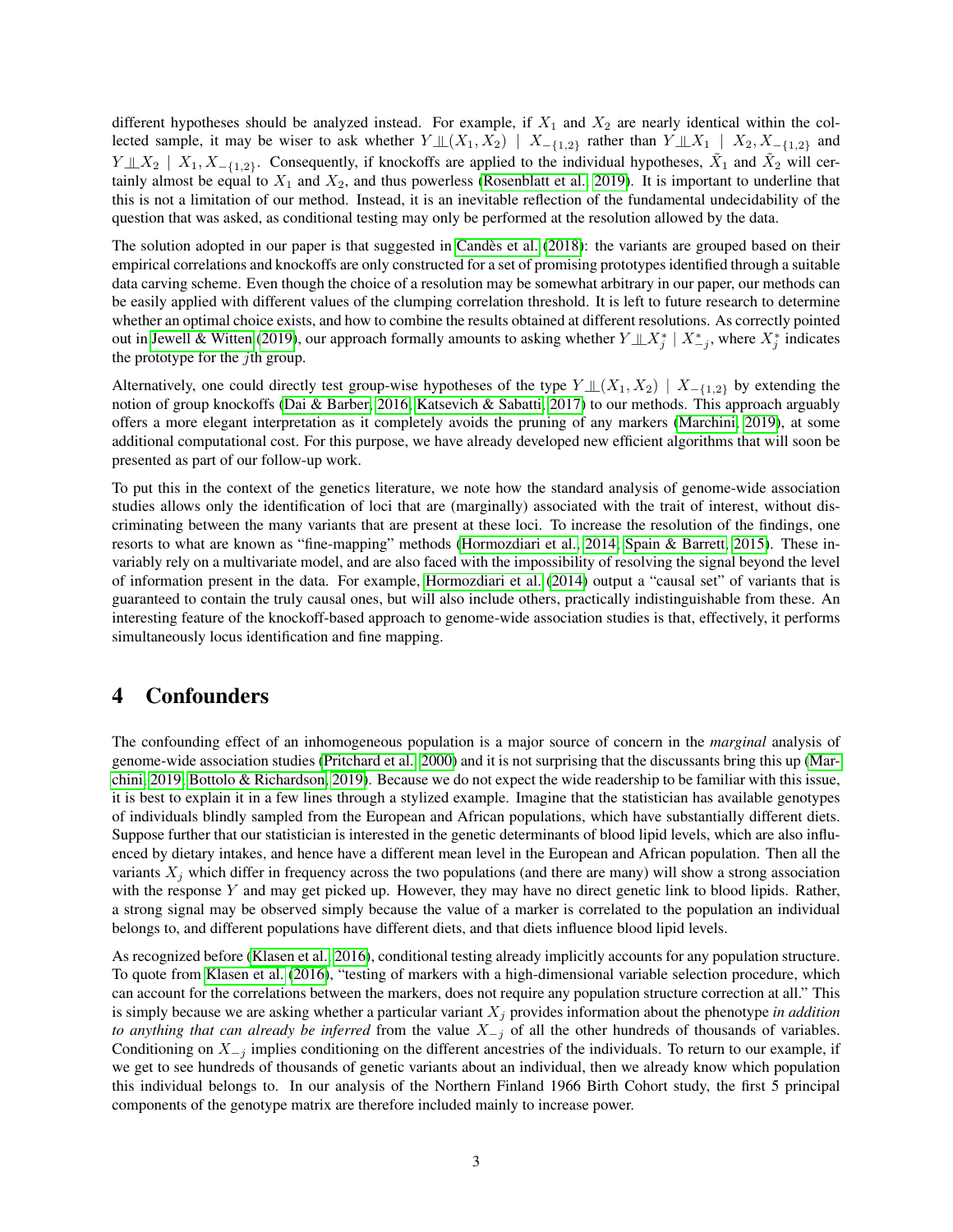different hypotheses should be analyzed instead. For example, if  $X_1$  and  $X_2$  are nearly identical within the collected sample, it may be wiser to ask whether  $Y \perp \!\!\! \perp (X_1, X_2) \mid X_{-\{1,2\}}$  rather than  $Y \perp \!\!\! \perp X_1 \mid X_2, X_{-\{1,2\}}$  and  $Y \perp \!\!\! \perp X_2 \mid X_1, X_{-\{1,2\}}$ . Consequently, if knockoffs are applied to the individual hypotheses,  $\tilde{X}_1$  and  $\tilde{X}_2$  will certainly almost be equal to  $X_1$  and  $X_2$ , and thus powerless [\(Rosenblatt et al., 2019\)](#page-8-2). It is important to underline that this is not a limitation of our method. Instead, it is an inevitable reflection of the fundamental undecidability of the question that was asked, as conditional testing may only be performed at the resolution allowed by the data.

The solution adopted in our paper is that suggested in Candès et al. [\(2018\)](#page-7-1): the variants are grouped based on their empirical correlations and knockoffs are only constructed for a set of promising prototypes identified through a suitable data carving scheme. Even though the choice of a resolution may be somewhat arbitrary in our paper, our methods can be easily applied with different values of the clumping correlation threshold. It is left to future research to determine whether an optimal choice exists, and how to combine the results obtained at different resolutions. As correctly pointed out in [Jewell & Witten](#page-8-1) [\(2019\)](#page-8-1), our approach formally amounts to asking whether  $Y \perp X_j^* \mid X_{-j}^*$ , where  $X_j^*$  indicates the prototype for the  $j$ th group.

Alternatively, one could directly test group-wise hypotheses of the type  $Y \perp (X_1, X_2) \mid X_{-\{1,2\}}$  by extending the notion of group knockoffs [\(Dai & Barber, 2016;](#page-7-7) [Katsevich & Sabatti, 2017\)](#page-8-8) to our methods. This approach arguably offers a more elegant interpretation as it completely avoids the pruning of any markers [\(Marchini, 2019\)](#page-8-3), at some additional computational cost. For this purpose, we have already developed new efficient algorithms that will soon be presented as part of our follow-up work.

To put this in the context of the genetics literature, we note how the standard analysis of genome-wide association studies allows only the identification of loci that are (marginally) associated with the trait of interest, without discriminating between the many variants that are present at these loci. To increase the resolution of the findings, one resorts to what are known as "fine-mapping" methods [\(Hormozdiari et al., 2014;](#page-8-9) [Spain & Barrett, 2015\)](#page-8-10). These invariably rely on a multivariate model, and are also faced with the impossibility of resolving the signal beyond the level of information present in the data. For example, [Hormozdiari et al.](#page-8-9) [\(2014\)](#page-8-9) output a "causal set" of variants that is guaranteed to contain the truly causal ones, but will also include others, practically indistinguishable from these. An interesting feature of the knockoff-based approach to genome-wide association studies is that, effectively, it performs simultaneously locus identification and fine mapping.

# 4 Confounders

The confounding effect of an inhomogeneous population is a major source of concern in the *marginal* analysis of genome-wide association studies [\(Pritchard et al., 2000\)](#page-8-11) and it is not surprising that the discussants bring this up [\(Mar](#page-8-3)[chini, 2019;](#page-8-3) [Bottolo & Richardson, 2019\)](#page-7-0). Because we do not expect the wide readership to be familiar with this issue, it is best to explain it in a few lines through a stylized example. Imagine that the statistician has available genotypes of individuals blindly sampled from the European and African populations, which have substantially different diets. Suppose further that our statistician is interested in the genetic determinants of blood lipid levels, which are also influenced by dietary intakes, and hence have a different mean level in the European and African population. Then all the variants  $X_j$  which differ in frequency across the two populations (and there are many) will show a strong association with the response  $Y$  and may get picked up. However, they may have no direct genetic link to blood lipids. Rather, a strong signal may be observed simply because the value of a marker is correlated to the population an individual belongs to, and different populations have different diets, and that diets influence blood lipid levels.

As recognized before [\(Klasen et al., 2016\)](#page-8-6), conditional testing already implicitly accounts for any population structure. To quote from [Klasen et al.](#page-8-6) [\(2016\)](#page-8-6), "testing of markers with a high-dimensional variable selection procedure, which can account for the correlations between the markers, does not require any population structure correction at all." This is simply because we are asking whether a particular variant  $X_i$  provides information about the phenotype *in addition to anything that can already be inferred* from the value  $X_{-j}$  of all the other hundreds of thousands of variables. Conditioning on  $X_{-j}$  implies conditioning on the different ancestries of the individuals. To return to our example, if we get to see hundreds of thousands of genetic variants about an individual, then we already know which population this individual belongs to. In our analysis of the Northern Finland 1966 Birth Cohort study, the first 5 principal components of the genotype matrix are therefore included mainly to increase power.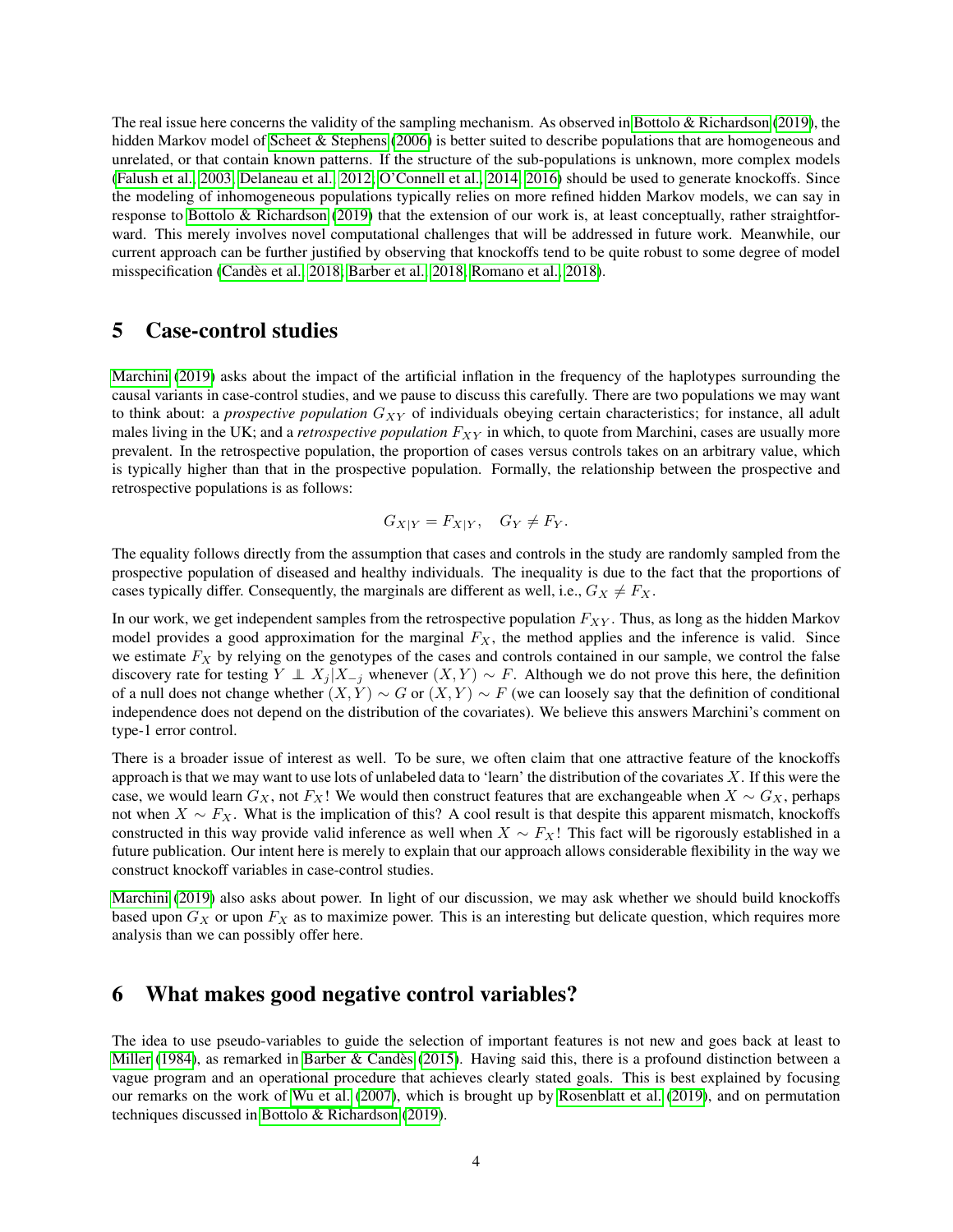The real issue here concerns the validity of the sampling mechanism. As observed in [Bottolo & Richardson](#page-7-0) [\(2019\)](#page-7-0), the hidden Markov model of [Scheet & Stephens](#page-8-12) [\(2006\)](#page-8-12) is better suited to describe populations that are homogeneous and unrelated, or that contain known patterns. If the structure of the sub-populations is unknown, more complex models [\(Falush et al., 2003;](#page-7-8) [Delaneau et al., 2012;](#page-7-9) [O'Connell et al., 2014,](#page-8-13) [2016\)](#page-8-14) should be used to generate knockoffs. Since the modeling of inhomogeneous populations typically relies on more refined hidden Markov models, we can say in response to [Bottolo & Richardson](#page-7-0) [\(2019\)](#page-7-0) that the extension of our work is, at least conceptually, rather straightforward. This merely involves novel computational challenges that will be addressed in future work. Meanwhile, our current approach can be further justified by observing that knockoffs tend to be quite robust to some degree of model misspecification [\(Candes et al., 2018;](#page-7-1) [Barber et al., 2018;](#page-7-10) [Romano et al., 2018\)](#page-8-15). `

#### 5 Case-control studies

[Marchini](#page-8-3) [\(2019\)](#page-8-3) asks about the impact of the artificial inflation in the frequency of the haplotypes surrounding the causal variants in case-control studies, and we pause to discuss this carefully. There are two populations we may want to think about: a *prospective population*  $G_{XY}$  of individuals obeying certain characteristics; for instance, all adult males living in the UK; and a *retrospective population*  $F_{XY}$  in which, to quote from Marchini, cases are usually more prevalent. In the retrospective population, the proportion of cases versus controls takes on an arbitrary value, which is typically higher than that in the prospective population. Formally, the relationship between the prospective and retrospective populations is as follows:

$$
G_{X|Y} = F_{X|Y}, \quad G_Y \neq F_Y.
$$

The equality follows directly from the assumption that cases and controls in the study are randomly sampled from the prospective population of diseased and healthy individuals. The inequality is due to the fact that the proportions of cases typically differ. Consequently, the marginals are different as well, i.e.,  $G_X \neq F_X$ .

In our work, we get independent samples from the retrospective population  $F_{XY}$ . Thus, as long as the hidden Markov model provides a good approximation for the marginal  $F_X$ , the method applies and the inference is valid. Since we estimate  $F_X$  by relying on the genotypes of the cases and controls contained in our sample, we control the false discovery rate for testing  $Y \perp X_j | X_{-j}$  whenever  $(X, Y) \sim F$ . Although we do not prove this here, the definition of a null does not change whether  $(X, Y) \sim G$  or  $(X, Y) \sim F$  (we can loosely say that the definition of conditional independence does not depend on the distribution of the covariates). We believe this answers Marchini's comment on type-1 error control.

There is a broader issue of interest as well. To be sure, we often claim that one attractive feature of the knockoffs approach is that we may want to use lots of unlabeled data to 'learn' the distribution of the covariates  $X$ . If this were the case, we would learn  $G_X$ , not  $F_X!$  We would then construct features that are exchangeable when  $X \sim G_X$ , perhaps not when  $X \sim F_X$ . What is the implication of this? A cool result is that despite this apparent mismatch, knockoffs constructed in this way provide valid inference as well when  $X \sim F_X!$  This fact will be rigorously established in a future publication. Our intent here is merely to explain that our approach allows considerable flexibility in the way we construct knockoff variables in case-control studies.

[Marchini](#page-8-3) [\(2019\)](#page-8-3) also asks about power. In light of our discussion, we may ask whether we should build knockoffs based upon  $G_X$  or upon  $F_X$  as to maximize power. This is an interesting but delicate question, which requires more analysis than we can possibly offer here.

# 6 What makes good negative control variables?

The idea to use pseudo-variables to guide the selection of important features is not new and goes back at least to [Miller](#page-8-16) [\(1984\)](#page-8-16), as remarked in Barber & Candès [\(2015\)](#page-7-11). Having said this, there is a profound distinction between a vague program and an operational procedure that achieves clearly stated goals. This is best explained by focusing our remarks on the work of [Wu et al.](#page-8-17) [\(2007\)](#page-8-17), which is brought up by [Rosenblatt et al.](#page-8-2) [\(2019\)](#page-8-2), and on permutation techniques discussed in [Bottolo & Richardson](#page-7-0) [\(2019\)](#page-7-0).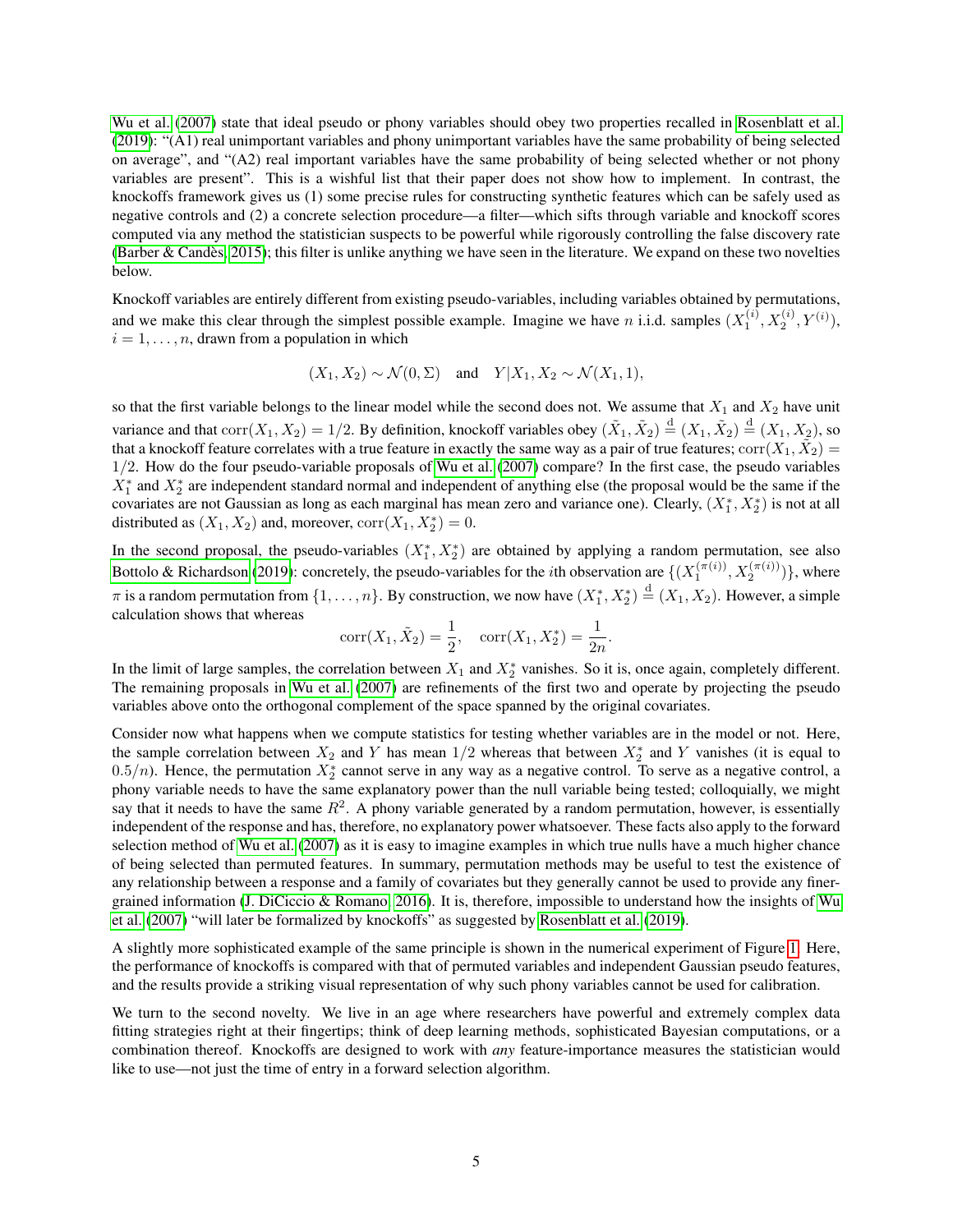[Wu et al.](#page-8-17) [\(2007\)](#page-8-17) state that ideal pseudo or phony variables should obey two properties recalled in [Rosenblatt et al.](#page-8-2) [\(2019\)](#page-8-2): "(A1) real unimportant variables and phony unimportant variables have the same probability of being selected on average", and "(A2) real important variables have the same probability of being selected whether or not phony variables are present". This is a wishful list that their paper does not show how to implement. In contrast, the knockoffs framework gives us (1) some precise rules for constructing synthetic features which can be safely used as negative controls and (2) a concrete selection procedure—a filter—which sifts through variable and knockoff scores computed via any method the statistician suspects to be powerful while rigorously controlling the false discovery rate (Barber & Candès, 2015); this filter is unlike anything we have seen in the literature. We expand on these two novelties below.

Knockoff variables are entirely different from existing pseudo-variables, including variables obtained by permutations, and we make this clear through the simplest possible example. Imagine we have *n* i.i.d. samples  $(X_1^{(i)}, X_2^{(i)}, Y^{(i)})$ ,  $i = 1, \ldots, n$ , drawn from a population in which

$$
(X_1, X_2) \sim \mathcal{N}(0, \Sigma)
$$
 and  $Y|X_1, X_2 \sim \mathcal{N}(X_1, 1)$ ,

so that the first variable belongs to the linear model while the second does not. We assume that  $X_1$  and  $X_2$  have unit variance and that  $\text{corr}(X_1, X_2) = 1/2$ . By definition, knockoff variables obey  $(\tilde{X}_1, \tilde{X}_2) \stackrel{d}{=} (X_1, \tilde{X}_2) \stackrel{d}{=} (X_1, X_2)$ , so that a knockoff feature correlates with a true feature in exactly the same way as a pair of true features;  $corr(X_1, \tilde{X}_2)$ 1/2. How do the four pseudo-variable proposals of [Wu et al.](#page-8-17) [\(2007\)](#page-8-17) compare? In the first case, the pseudo variables  $X_1^*$  and  $X_2^*$  are independent standard normal and independent of anything else (the proposal would be the same if the covariates are not Gaussian as long as each marginal has mean zero and variance one). Clearly,  $(X_1^*, X_2^*)$  is not at all distributed as  $(X_1, X_2)$  and, moreover,  $corr(X_1, X_2^*) = 0$ .

In the second proposal, the pseudo-variables  $(X_1^*, X_2^*)$  are obtained by applying a random permutation, see also [Bottolo & Richardson](#page-7-0) [\(2019\)](#page-7-0): concretely, the pseudo-variables for the *i*th observation are  $\{(X_1^{(\pi(i))}, X_2^{(\pi(i))})\}$ , where  $\pi$  is a random permutation from  $\{1,\ldots,n\}$ . By construction, we now have  $(X_1^*,X_2^*)\stackrel{\rm d}{=} (X_1,X_2)$ . However, a simple calculation shows that whereas

$$
corr(X_1, \tilde{X}_2) = \frac{1}{2}, corr(X_1, X_2^*) = \frac{1}{2n}.
$$

In the limit of large samples, the correlation between  $X_1$  and  $X_2^*$  vanishes. So it is, once again, completely different. The remaining proposals in [Wu et al.](#page-8-17) [\(2007\)](#page-8-17) are refinements of the first two and operate by projecting the pseudo variables above onto the orthogonal complement of the space spanned by the original covariates.

Consider now what happens when we compute statistics for testing whether variables are in the model or not. Here, the sample correlation between  $X_2$  and Y has mean  $1/2$  whereas that between  $X_2^*$  and Y vanishes (it is equal to 0.5/n). Hence, the permutation  $X_2^*$  cannot serve in any way as a negative control. To serve as a negative control, a phony variable needs to have the same explanatory power than the null variable being tested; colloquially, we might say that it needs to have the same  $R^2$ . A phony variable generated by a random permutation, however, is essentially independent of the response and has, therefore, no explanatory power whatsoever. These facts also apply to the forward selection method of [Wu et al.](#page-8-17) [\(2007\)](#page-8-17) as it is easy to imagine examples in which true nulls have a much higher chance of being selected than permuted features. In summary, permutation methods may be useful to test the existence of any relationship between a response and a family of covariates but they generally cannot be used to provide any finergrained information [\(J. DiCiccio & Romano, 2016\)](#page-8-18). It is, therefore, impossible to understand how the insights of [Wu](#page-8-17) [et al.](#page-8-17) [\(2007\)](#page-8-17) "will later be formalized by knockoffs" as suggested by [Rosenblatt et al.](#page-8-2) [\(2019\)](#page-8-2).

A slightly more sophisticated example of the same principle is shown in the numerical experiment of Figure [1.](#page-9-0) Here, the performance of knockoffs is compared with that of permuted variables and independent Gaussian pseudo features, and the results provide a striking visual representation of why such phony variables cannot be used for calibration.

We turn to the second novelty. We live in an age where researchers have powerful and extremely complex data fitting strategies right at their fingertips; think of deep learning methods, sophisticated Bayesian computations, or a combination thereof. Knockoffs are designed to work with *any* feature-importance measures the statistician would like to use—not just the time of entry in a forward selection algorithm.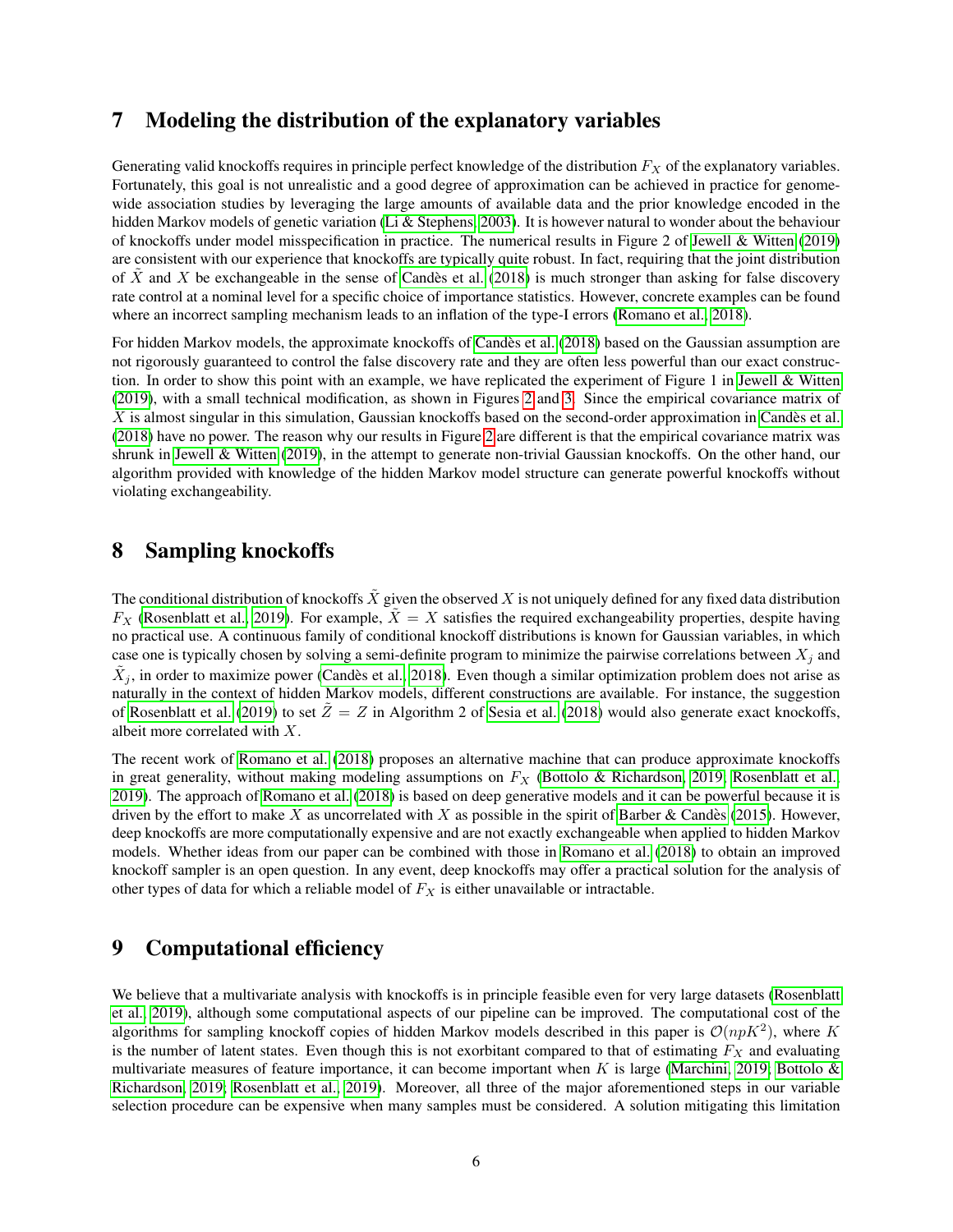#### 7 Modeling the distribution of the explanatory variables

Generating valid knockoffs requires in principle perfect knowledge of the distribution  $F_X$  of the explanatory variables. Fortunately, this goal is not unrealistic and a good degree of approximation can be achieved in practice for genomewide association studies by leveraging the large amounts of available data and the prior knowledge encoded in the hidden Markov models of genetic variation [\(Li & Stephens, 2003\)](#page-8-19). It is however natural to wonder about the behaviour of knockoffs under model misspecification in practice. The numerical results in Figure 2 of [Jewell & Witten](#page-8-1) [\(2019\)](#page-8-1) are consistent with our experience that knockoffs are typically quite robust. In fact, requiring that the joint distribution of X and X be exchangeable in the sense of Candès et al. [\(2018\)](#page-7-1) is much stronger than asking for false discovery rate control at a nominal level for a specific choice of importance statistics. However, concrete examples can be found where an incorrect sampling mechanism leads to an inflation of the type-I errors [\(Romano et al., 2018\)](#page-8-15).

For hidden Markov models, the approximate knockoffs of Candès et al. [\(2018\)](#page-7-1) based on the Gaussian assumption are not rigorously guaranteed to control the false discovery rate and they are often less powerful than our exact construction. In order to show this point with an example, we have replicated the experiment of Figure 1 in [Jewell & Witten](#page-8-1) [\(2019\)](#page-8-1), with a small technical modification, as shown in Figures [2](#page-10-0) and [3.](#page-10-1) Since the empirical covariance matrix of  $X$  is almost singular in this simulation, Gaussian knockoffs based on the second-order approximation in Candès et al. [\(2018\)](#page-7-1) have no power. The reason why our results in Figure [2](#page-10-0) are different is that the empirical covariance matrix was shrunk in [Jewell & Witten](#page-8-1) [\(2019\)](#page-8-1), in the attempt to generate non-trivial Gaussian knockoffs. On the other hand, our algorithm provided with knowledge of the hidden Markov model structure can generate powerful knockoffs without violating exchangeability.

### 8 Sampling knockoffs

The conditional distribution of knockoffs  $\tilde{X}$  given the observed X is not uniquely defined for any fixed data distribution  $F_X$  [\(Rosenblatt et al., 2019\)](#page-8-2). For example,  $\tilde{X} = X$  satisfies the required exchangeability properties, despite having no practical use. A continuous family of conditional knockoff distributions is known for Gaussian variables, in which case one is typically chosen by solving a semi-definite program to minimize the pairwise correlations between  $X_j$  and  $\tilde{X}_j$ , in order to maximize power (Candès et al., 2018). Even though a similar optimization problem does not arise as naturally in the context of hidden Markov models, different constructions are available. For instance, the suggestion of [Rosenblatt et al.](#page-8-2) [\(2019\)](#page-8-2) to set  $\tilde{Z} = Z$  in Algorithm 2 of [Sesia et al.](#page-8-0) [\(2018\)](#page-8-0) would also generate exact knockoffs, albeit more correlated with X.

The recent work of [Romano et al.](#page-8-15) [\(2018\)](#page-8-15) proposes an alternative machine that can produce approximate knockoffs in great generality, without making modeling assumptions on  $F_X$  [\(Bottolo & Richardson, 2019;](#page-7-0) [Rosenblatt et al.,](#page-8-2) [2019\)](#page-8-2). The approach of [Romano et al.](#page-8-15) [\(2018\)](#page-8-15) is based on deep generative models and it can be powerful because it is driven by the effort to make X as uncorrelated with X as possible in the spirit of Barber & Candès [\(2015\)](#page-7-11). However, deep knockoffs are more computationally expensive and are not exactly exchangeable when applied to hidden Markov models. Whether ideas from our paper can be combined with those in [Romano et al.](#page-8-15) [\(2018\)](#page-8-15) to obtain an improved knockoff sampler is an open question. In any event, deep knockoffs may offer a practical solution for the analysis of other types of data for which a reliable model of  $F_X$  is either unavailable or intractable.

# 9 Computational efficiency

We believe that a multivariate analysis with knockoffs is in principle feasible even for very large datasets [\(Rosenblatt](#page-8-2) [et al., 2019\)](#page-8-2), although some computational aspects of our pipeline can be improved. The computational cost of the algorithms for sampling knockoff copies of hidden Markov models described in this paper is  $\mathcal{O}(npK^2)$ , where K is the number of latent states. Even though this is not exorbitant compared to that of estimating  $F_X$  and evaluating multivariate measures of feature importance, it can become important when K is large [\(Marchini, 2019;](#page-8-3) Bottolo  $\&$ [Richardson, 2019;](#page-7-0) [Rosenblatt et al., 2019\)](#page-8-2). Moreover, all three of the major aforementioned steps in our variable selection procedure can be expensive when many samples must be considered. A solution mitigating this limitation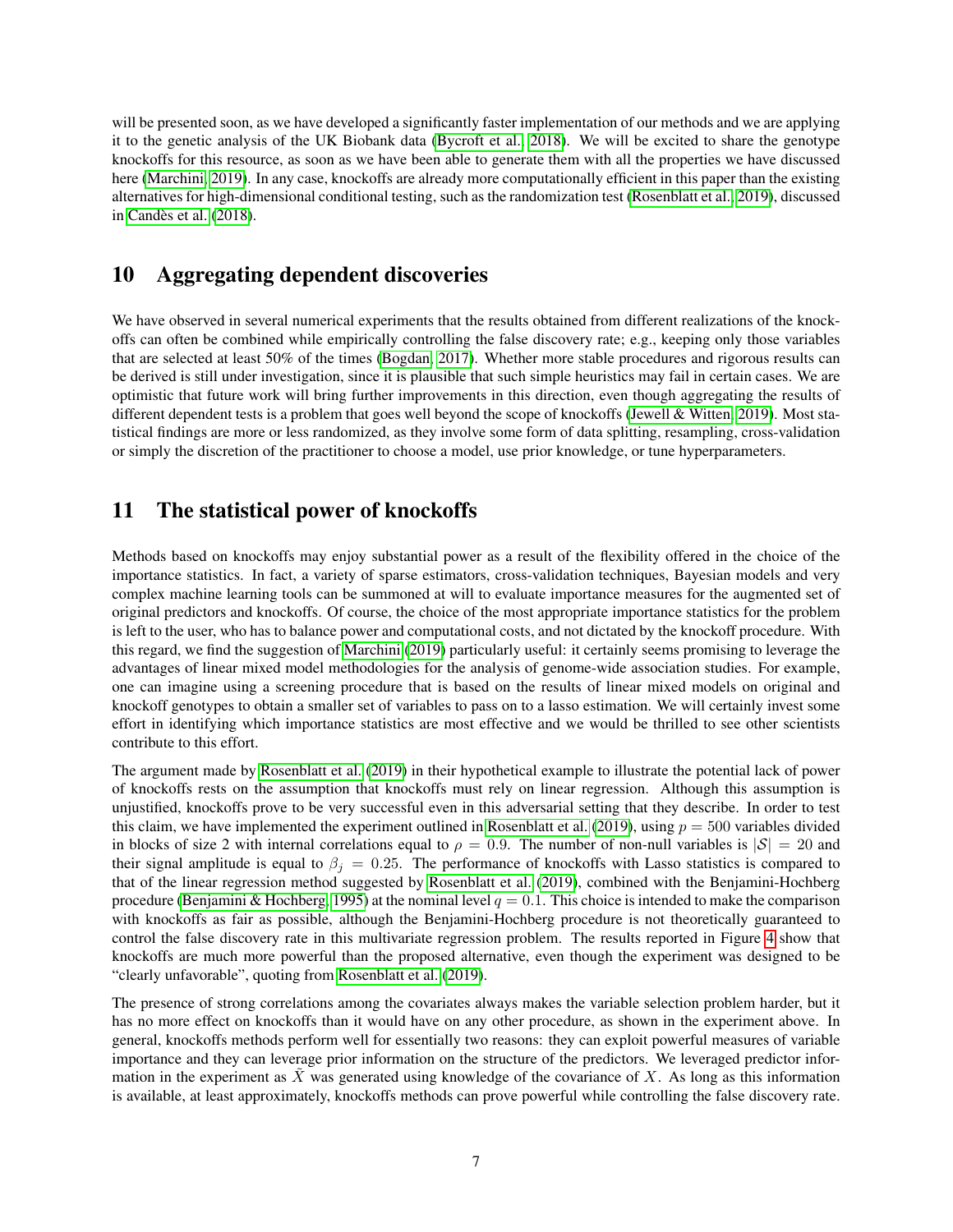will be presented soon, as we have developed a significantly faster implementation of our methods and we are applying it to the genetic analysis of the UK Biobank data [\(Bycroft et al., 2018\)](#page-7-12). We will be excited to share the genotype knockoffs for this resource, as soon as we have been able to generate them with all the properties we have discussed here [\(Marchini, 2019\)](#page-8-3). In any case, knockoffs are already more computationally efficient in this paper than the existing alternatives for high-dimensional conditional testing, such as the randomization test [\(Rosenblatt et al., 2019\)](#page-8-2), discussed in Candès et al. [\(2018\)](#page-7-1).

### 10 Aggregating dependent discoveries

We have observed in several numerical experiments that the results obtained from different realizations of the knockoffs can often be combined while empirically controlling the false discovery rate; e.g., keeping only those variables that are selected at least 50% of the times [\(Bogdan, 2017\)](#page-7-13). Whether more stable procedures and rigorous results can be derived is still under investigation, since it is plausible that such simple heuristics may fail in certain cases. We are optimistic that future work will bring further improvements in this direction, even though aggregating the results of different dependent tests is a problem that goes well beyond the scope of knockoffs [\(Jewell & Witten, 2019\)](#page-8-1). Most statistical findings are more or less randomized, as they involve some form of data splitting, resampling, cross-validation or simply the discretion of the practitioner to choose a model, use prior knowledge, or tune hyperparameters.

# 11 The statistical power of knockoffs

Methods based on knockoffs may enjoy substantial power as a result of the flexibility offered in the choice of the importance statistics. In fact, a variety of sparse estimators, cross-validation techniques, Bayesian models and very complex machine learning tools can be summoned at will to evaluate importance measures for the augmented set of original predictors and knockoffs. Of course, the choice of the most appropriate importance statistics for the problem is left to the user, who has to balance power and computational costs, and not dictated by the knockoff procedure. With this regard, we find the suggestion of [Marchini](#page-8-3) [\(2019\)](#page-8-3) particularly useful: it certainly seems promising to leverage the advantages of linear mixed model methodologies for the analysis of genome-wide association studies. For example, one can imagine using a screening procedure that is based on the results of linear mixed models on original and knockoff genotypes to obtain a smaller set of variables to pass on to a lasso estimation. We will certainly invest some effort in identifying which importance statistics are most effective and we would be thrilled to see other scientists contribute to this effort.

The argument made by [Rosenblatt et al.](#page-8-2) [\(2019\)](#page-8-2) in their hypothetical example to illustrate the potential lack of power of knockoffs rests on the assumption that knockoffs must rely on linear regression. Although this assumption is unjustified, knockoffs prove to be very successful even in this adversarial setting that they describe. In order to test this claim, we have implemented the experiment outlined in [Rosenblatt et al.](#page-8-2) [\(2019\)](#page-8-2), using  $p = 500$  variables divided in blocks of size 2 with internal correlations equal to  $\rho = 0.9$ . The number of non-null variables is  $|\mathcal{S}| = 20$  and their signal amplitude is equal to  $\beta_j = 0.25$ . The performance of knockoffs with Lasso statistics is compared to that of the linear regression method suggested by [Rosenblatt et al.](#page-8-2) [\(2019\)](#page-8-2), combined with the Benjamini-Hochberg procedure [\(Benjamini & Hochberg, 1995\)](#page-7-14) at the nominal level  $q = 0.1$ . This choice is intended to make the comparison with knockoffs as fair as possible, although the Benjamini-Hochberg procedure is not theoretically guaranteed to control the false discovery rate in this multivariate regression problem. The results reported in Figure [4](#page-11-0) show that knockoffs are much more powerful than the proposed alternative, even though the experiment was designed to be "clearly unfavorable", quoting from [Rosenblatt et al.](#page-8-2) [\(2019\)](#page-8-2).

The presence of strong correlations among the covariates always makes the variable selection problem harder, but it has no more effect on knockoffs than it would have on any other procedure, as shown in the experiment above. In general, knockoffs methods perform well for essentially two reasons: they can exploit powerful measures of variable importance and they can leverage prior information on the structure of the predictors. We leveraged predictor information in the experiment as  $\tilde{X}$  was generated using knowledge of the covariance of X. As long as this information is available, at least approximately, knockoffs methods can prove powerful while controlling the false discovery rate.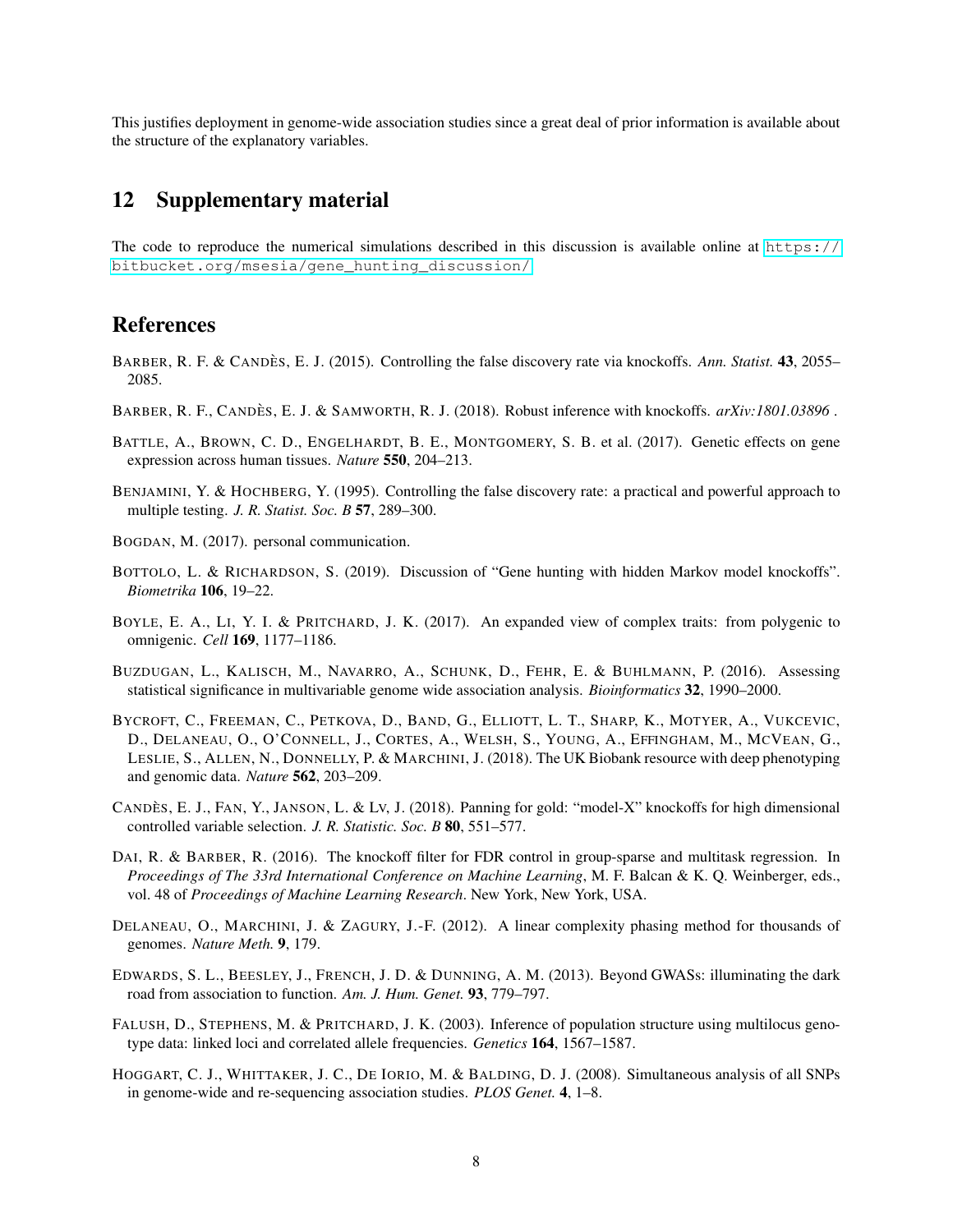This justifies deployment in genome-wide association studies since a great deal of prior information is available about the structure of the explanatory variables.

#### 12 Supplementary material

The code to reproduce the numerical simulations described in this discussion is available online at [https://](https://bitbucket.org/msesia/gene_hunting_discussion/) [bitbucket.org/msesia/gene\\_hunting\\_discussion/](https://bitbucket.org/msesia/gene_hunting_discussion/).

#### References

- <span id="page-7-11"></span>BARBER, R. F. & CANDÈS, E. J. (2015). Controlling the false discovery rate via knockoffs. *Ann. Statist.* 43, 2055– 2085.
- <span id="page-7-10"></span>BARBER, R. F., CANDÈS, E. J. & SAMWORTH, R. J. (2018). Robust inference with knockoffs. *arXiv:1801.03896*.
- <span id="page-7-6"></span>BATTLE, A., BROWN, C. D., ENGELHARDT, B. E., MONTGOMERY, S. B. et al. (2017). Genetic effects on gene expression across human tissues. *Nature* 550, 204–213.
- <span id="page-7-14"></span>BENJAMINI, Y. & HOCHBERG, Y. (1995). Controlling the false discovery rate: a practical and powerful approach to multiple testing. *J. R. Statist. Soc. B* 57, 289–300.
- <span id="page-7-13"></span>BOGDAN, M. (2017). personal communication.
- <span id="page-7-0"></span>BOTTOLO, L. & RICHARDSON, S. (2019). Discussion of "Gene hunting with hidden Markov model knockoffs". *Biometrika* 106, 19–22.
- <span id="page-7-5"></span>BOYLE, E. A., LI, Y. I. & PRITCHARD, J. K. (2017). An expanded view of complex traits: from polygenic to omnigenic. *Cell* 169, 1177–1186.
- <span id="page-7-3"></span>BUZDUGAN, L., KALISCH, M., NAVARRO, A., SCHUNK, D., FEHR, E. & BUHLMANN, P. (2016). Assessing statistical significance in multivariable genome wide association analysis. *Bioinformatics* 32, 1990–2000.
- <span id="page-7-12"></span>BYCROFT, C., FREEMAN, C., PETKOVA, D., BAND, G., ELLIOTT, L. T., SHARP, K., MOTYER, A., VUKCEVIC, D., DELANEAU, O., O'CONNELL, J., CORTES, A., WELSH, S., YOUNG, A., EFFINGHAM, M., MCVEAN, G., LESLIE, S., ALLEN, N., DONNELLY, P. & MARCHINI, J. (2018). The UK Biobank resource with deep phenotyping and genomic data. *Nature* 562, 203–209.
- <span id="page-7-1"></span>CANDES, E. J., FAN, Y., JANSON, L. & Lv, J. (2018). Panning for gold: "model-X" knockoffs for high dimensional controlled variable selection. *J. R. Statistic. Soc. B* 80, 551–577.
- <span id="page-7-7"></span>DAI, R. & BARBER, R. (2016). The knockoff filter for FDR control in group-sparse and multitask regression. In *Proceedings of The 33rd International Conference on Machine Learning*, M. F. Balcan & K. Q. Weinberger, eds., vol. 48 of *Proceedings of Machine Learning Research*. New York, New York, USA.
- <span id="page-7-9"></span>DELANEAU, O., MARCHINI, J. & ZAGURY, J.-F. (2012). A linear complexity phasing method for thousands of genomes. *Nature Meth.* 9, 179.
- <span id="page-7-4"></span>EDWARDS, S. L., BEESLEY, J., FRENCH, J. D. & DUNNING, A. M. (2013). Beyond GWASs: illuminating the dark road from association to function. *Am. J. Hum. Genet.* 93, 779–797.
- <span id="page-7-8"></span>FALUSH, D., STEPHENS, M. & PRITCHARD, J. K. (2003). Inference of population structure using multilocus genotype data: linked loci and correlated allele frequencies. *Genetics* 164, 1567–1587.
- <span id="page-7-2"></span>HOGGART, C. J., WHITTAKER, J. C., DE IORIO, M. & BALDING, D. J. (2008). Simultaneous analysis of all SNPs in genome-wide and re-sequencing association studies. *PLOS Genet.* 4, 1–8.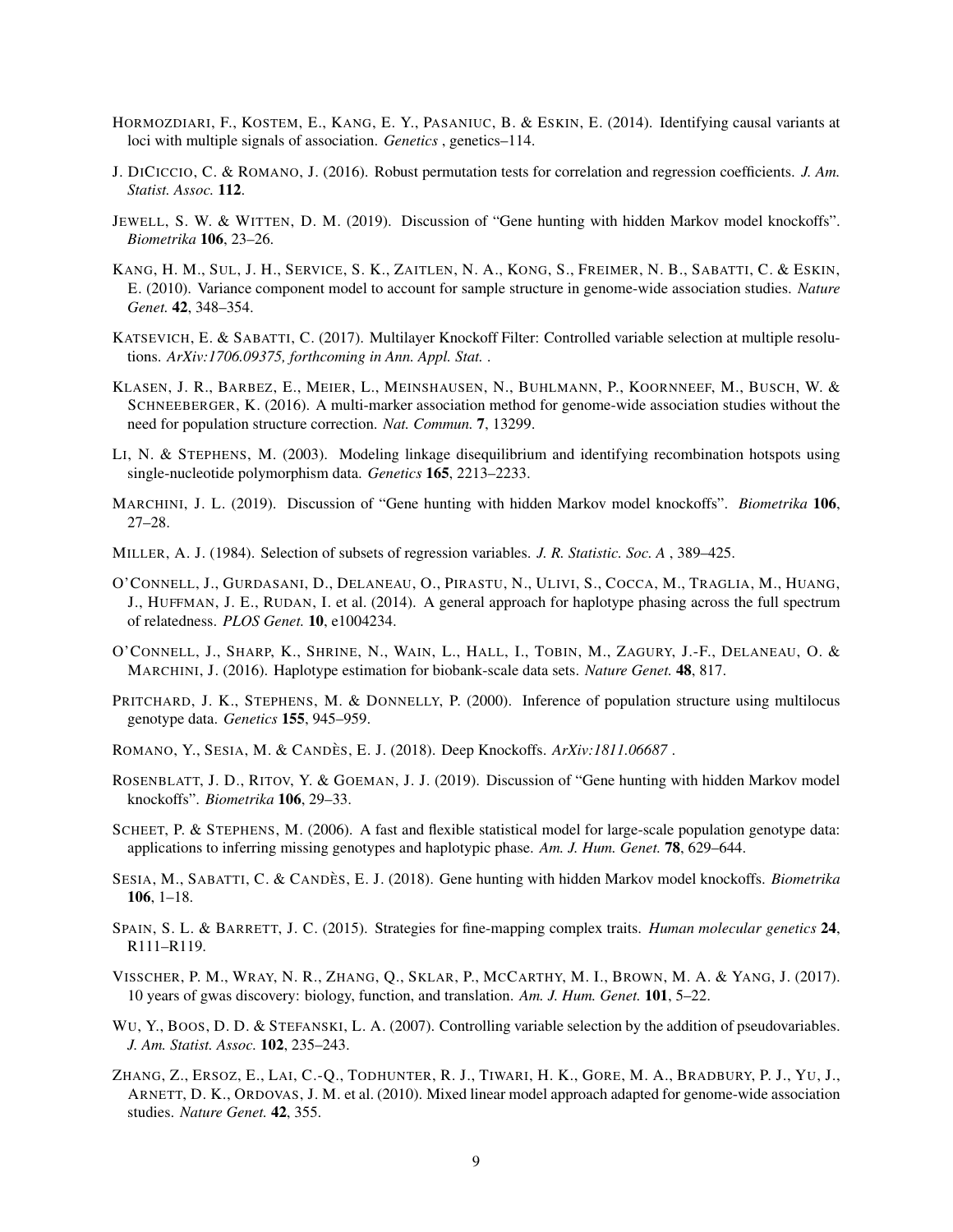- <span id="page-8-9"></span>HORMOZDIARI, F., KOSTEM, E., KANG, E. Y., PASANIUC, B. & ESKIN, E. (2014). Identifying causal variants at loci with multiple signals of association. *Genetics* , genetics–114.
- <span id="page-8-18"></span>J. DICICCIO, C. & ROMANO, J. (2016). Robust permutation tests for correlation and regression coefficients. *J. Am. Statist. Assoc.* 112.
- <span id="page-8-1"></span>JEWELL, S. W. & WITTEN, D. M. (2019). Discussion of "Gene hunting with hidden Markov model knockoffs". *Biometrika* 106, 23–26.
- <span id="page-8-5"></span>KANG, H. M., SUL, J. H., SERVICE, S. K., ZAITLEN, N. A., KONG, S., FREIMER, N. B., SABATTI, C. & ESKIN, E. (2010). Variance component model to account for sample structure in genome-wide association studies. *Nature Genet.* 42, 348–354.
- <span id="page-8-8"></span>KATSEVICH, E. & SABATTI, C. (2017). Multilayer Knockoff Filter: Controlled variable selection at multiple resolutions. *ArXiv:1706.09375, forthcoming in Ann. Appl. Stat.* .
- <span id="page-8-6"></span>KLASEN, J. R., BARBEZ, E., MEIER, L., MEINSHAUSEN, N., BUHLMANN, P., KOORNNEEF, M., BUSCH, W. & SCHNEEBERGER, K. (2016). A multi-marker association method for genome-wide association studies without the need for population structure correction. *Nat. Commun.* 7, 13299.
- <span id="page-8-19"></span>LI, N. & STEPHENS, M. (2003). Modeling linkage disequilibrium and identifying recombination hotspots using single-nucleotide polymorphism data. *Genetics* 165, 2213–2233.
- <span id="page-8-3"></span>MARCHINI, J. L. (2019). Discussion of "Gene hunting with hidden Markov model knockoffs". *Biometrika* 106, 27–28.
- <span id="page-8-16"></span>MILLER, A. J. (1984). Selection of subsets of regression variables. *J. R. Statistic. Soc. A* , 389–425.
- <span id="page-8-13"></span>O'CONNELL, J., GURDASANI, D., DELANEAU, O., PIRASTU, N., ULIVI, S., COCCA, M., TRAGLIA, M., HUANG, J., HUFFMAN, J. E., RUDAN, I. et al. (2014). A general approach for haplotype phasing across the full spectrum of relatedness. *PLOS Genet.* 10, e1004234.
- <span id="page-8-14"></span>O'CONNELL, J., SHARP, K., SHRINE, N., WAIN, L., HALL, I., TOBIN, M., ZAGURY, J.-F., DELANEAU, O. & MARCHINI, J. (2016). Haplotype estimation for biobank-scale data sets. *Nature Genet.* 48, 817.
- <span id="page-8-11"></span>PRITCHARD, J. K., STEPHENS, M. & DONNELLY, P. (2000). Inference of population structure using multilocus genotype data. *Genetics* 155, 945–959.
- <span id="page-8-15"></span>ROMANO, Y., SESIA, M. & CANDÈS, E. J. (2018). Deep Knockoffs. *ArXiv:1811.06687*.
- <span id="page-8-2"></span>ROSENBLATT, J. D., RITOV, Y. & GOEMAN, J. J. (2019). Discussion of "Gene hunting with hidden Markov model knockoffs". *Biometrika* 106, 29–33.
- <span id="page-8-12"></span>SCHEET, P. & STEPHENS, M. (2006). A fast and flexible statistical model for large-scale population genotype data: applications to inferring missing genotypes and haplotypic phase. *Am. J. Hum. Genet.* 78, 629–644.
- <span id="page-8-0"></span>SESIA, M., SABATTI, C. & CANDÈS, E. J. (2018). Gene hunting with hidden Markov model knockoffs. *Biometrika*  $106, 1-18.$
- <span id="page-8-10"></span>SPAIN, S. L. & BARRETT, J. C. (2015). Strategies for fine-mapping complex traits. *Human molecular genetics* 24, R111–R119.
- <span id="page-8-7"></span>VISSCHER, P. M., WRAY, N. R., ZHANG, Q., SKLAR, P., MCCARTHY, M. I., BROWN, M. A. & YANG, J. (2017). 10 years of gwas discovery: biology, function, and translation. *Am. J. Hum. Genet.* 101, 5–22.
- <span id="page-8-17"></span>WU, Y., BOOS, D. D. & STEFANSKI, L. A. (2007). Controlling variable selection by the addition of pseudovariables. *J. Am. Statist. Assoc.* 102, 235–243.
- <span id="page-8-4"></span>ZHANG, Z., ERSOZ, E., LAI, C.-Q., TODHUNTER, R. J., TIWARI, H. K., GORE, M. A., BRADBURY, P. J., YU, J., ARNETT, D. K., ORDOVAS, J. M. et al. (2010). Mixed linear model approach adapted for genome-wide association studies. *Nature Genet.* 42, 355.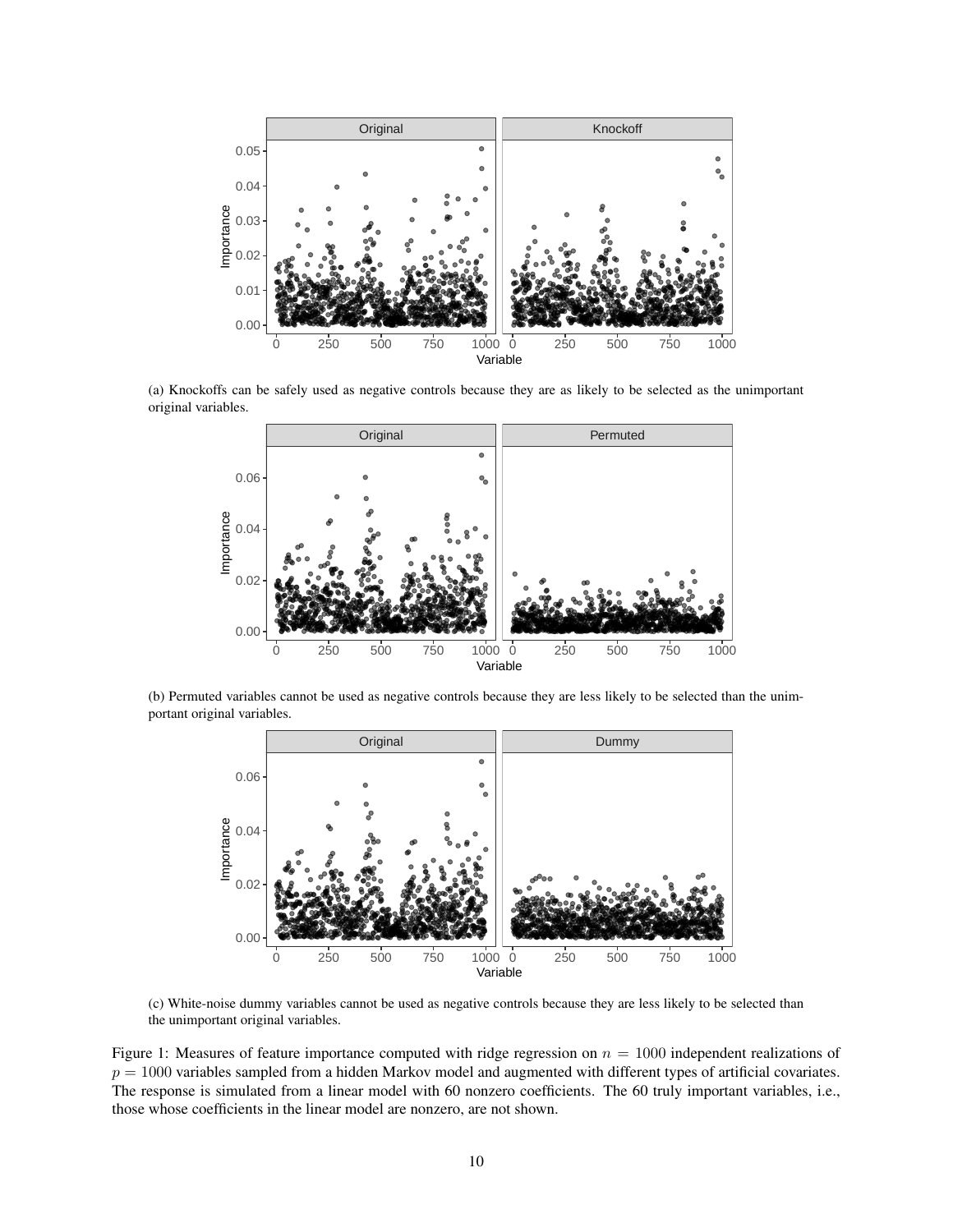<span id="page-9-0"></span>

(a) Knockoffs can be safely used as negative controls because they are as likely to be selected as the unimportant original variables.



(b) Permuted variables cannot be used as negative controls because they are less likely to be selected than the unimportant original variables.



(c) White-noise dummy variables cannot be used as negative controls because they are less likely to be selected than the unimportant original variables.

Figure 1: Measures of feature importance computed with ridge regression on  $n = 1000$  independent realizations of  $p = 1000$  variables sampled from a hidden Markov model and augmented with different types of artificial covariates. The response is simulated from a linear model with 60 nonzero coefficients. The 60 truly important variables, i.e., those whose coefficients in the linear model are nonzero, are not shown.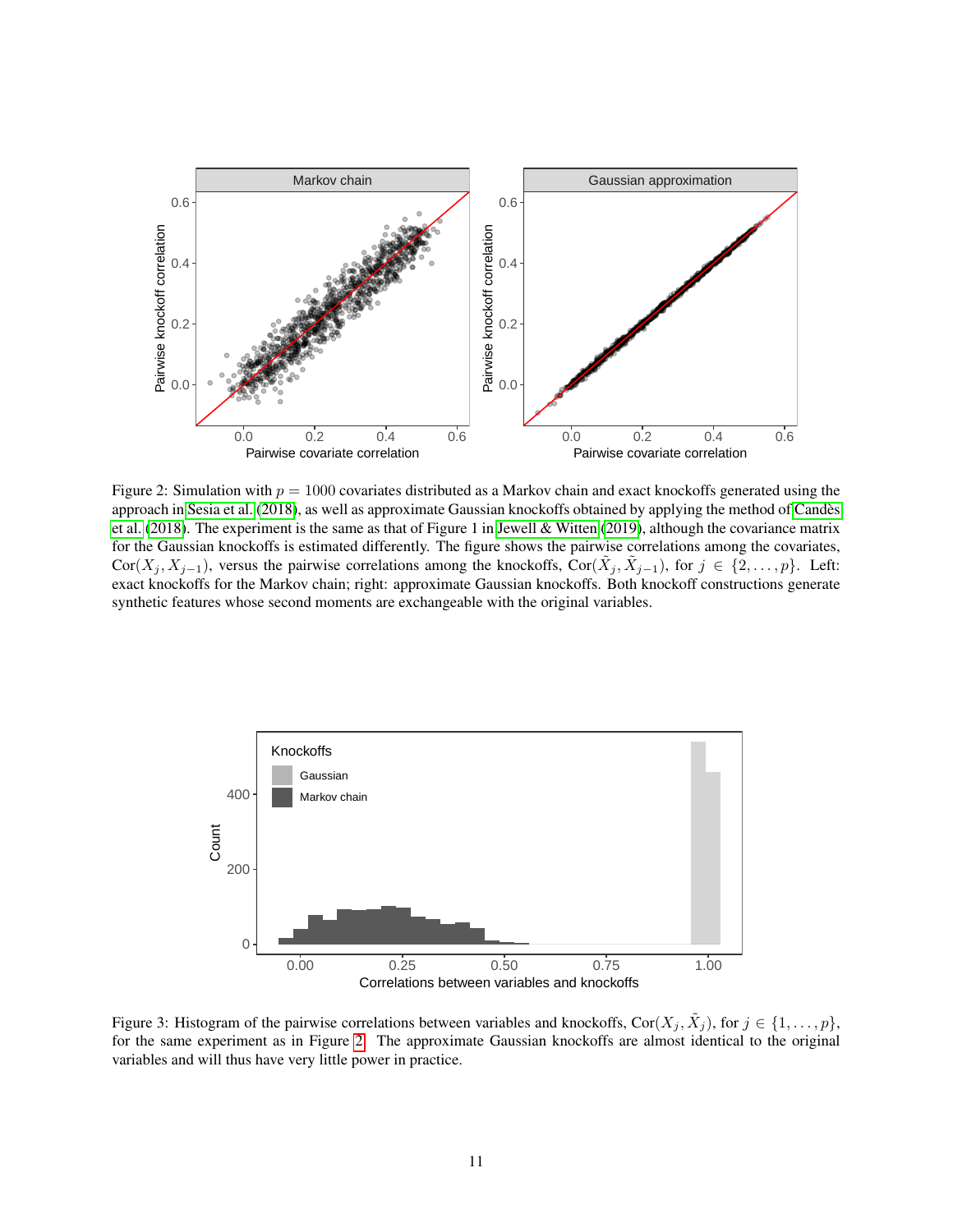<span id="page-10-0"></span>

Figure 2: Simulation with  $p = 1000$  covariates distributed as a Markov chain and exact knockoffs generated using the approach in [Sesia et al.](#page-8-0) [\(2018\)](#page-8-0), as well as approximate Gaussian knockoffs obtained by applying the method of [Candes`](#page-7-1) [et al.](#page-7-1) [\(2018\)](#page-7-1). The experiment is the same as that of Figure 1 in [Jewell & Witten](#page-8-1) [\(2019\)](#page-8-1), although the covariance matrix for the Gaussian knockoffs is estimated differently. The figure shows the pairwise correlations among the covariates,  $Cor(X_j, X_{j-1})$ , versus the pairwise correlations among the knockoffs,  $Cor(\tilde{X}_j, \tilde{X}_{j-1})$ , for  $j \in \{2, ..., p\}$ . Left: exact knockoffs for the Markov chain; right: approximate Gaussian knockoffs. Both knockoff constructions generate synthetic features whose second moments are exchangeable with the original variables.

<span id="page-10-1"></span>

Figure 3: Histogram of the pairwise correlations between variables and knockoffs, Cor $(X_j, \tilde{X}_j)$ , for  $j \in \{1, \ldots, p\}$ , for the same experiment as in Figure [2.](#page-10-0) The approximate Gaussian knockoffs are almost identical to the original variables and will thus have very little power in practice.